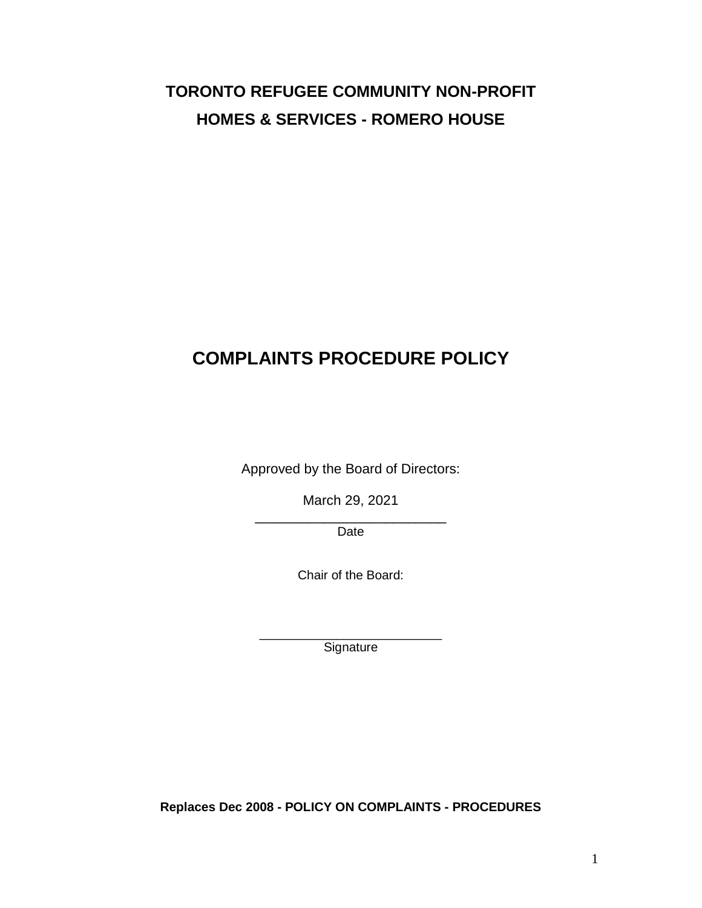# **TORONTO REFUGEE COMMUNITY NON-PROFIT HOMES & SERVICES - ROMERO HOUSE**

# **COMPLAINTS PROCEDURE POLICY**

Approved by the Board of Directors:

March 29, 2021

\_\_\_\_\_\_\_\_\_\_\_\_\_\_\_\_\_\_\_\_\_\_\_\_\_ Date

Chair of the Board:

\_\_\_\_\_\_\_\_\_\_\_\_\_\_\_\_\_\_\_\_\_\_\_\_\_\_ **Signature** 

**Replaces Dec 2008 - POLICY ON COMPLAINTS - PROCEDURES**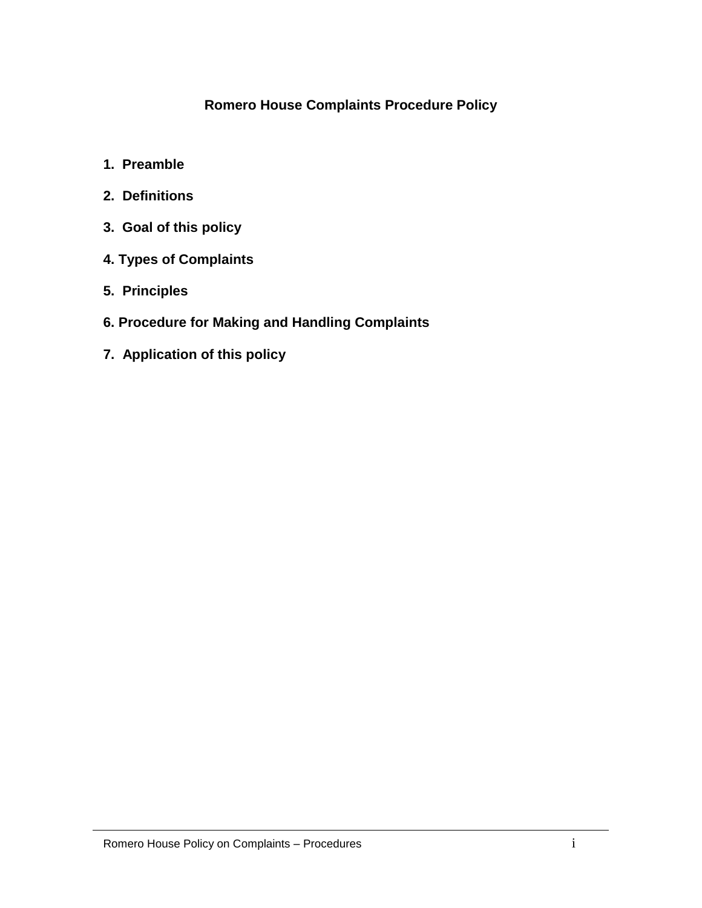## **Romero House Complaints Procedure Policy**

- **1. Preamble**
- **2. Definitions**
- **3. Goal of this policy**
- **4. Types of Complaints**
- **5. Principles**
- **6. Procedure for Making and Handling Complaints**
- **7. Application of this policy**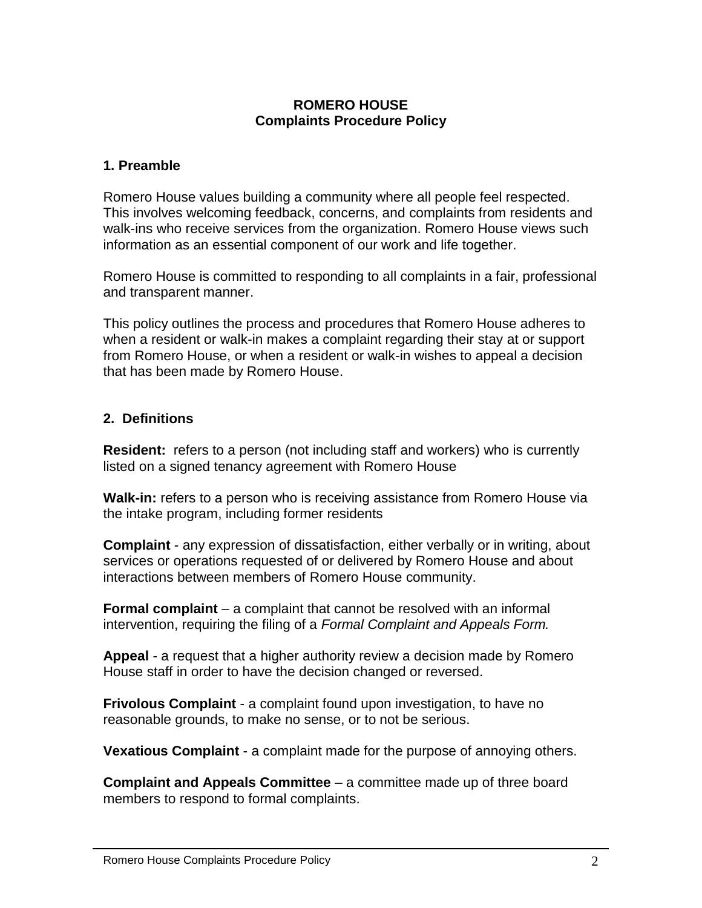#### **ROMERO HOUSE Complaints Procedure Policy**

#### **1. Preamble**

Romero House values building a community where all people feel respected. This involves welcoming feedback, concerns, and complaints from residents and walk-ins who receive services from the organization. Romero House views such information as an essential component of our work and life together.

Romero House is committed to responding to all complaints in a fair, professional and transparent manner.

This policy outlines the process and procedures that Romero House adheres to when a resident or walk-in makes a complaint regarding their stay at or support from Romero House, or when a resident or walk-in wishes to appeal a decision that has been made by Romero House.

### **2. Definitions**

**Resident:** refers to a person (not including staff and workers) who is currently listed on a signed tenancy agreement with Romero House

**Walk-in:** refers to a person who is receiving assistance from Romero House via the intake program, including former residents

**Complaint** - any expression of dissatisfaction, either verbally or in writing, about services or operations requested of or delivered by Romero House and about interactions between members of Romero House community.

**Formal complaint** – a complaint that cannot be resolved with an informal intervention, requiring the filing of a *Formal Complaint and Appeals Form.*

**Appeal** - a request that a higher authority review a decision made by Romero House staff in order to have the decision changed or reversed.

**Frivolous Complaint** - a complaint found upon investigation, to have no reasonable grounds, to make no sense, or to not be serious.

**Vexatious Complaint** - a complaint made for the purpose of annoying others.

**Complaint and Appeals Committee** – a committee made up of three board members to respond to formal complaints.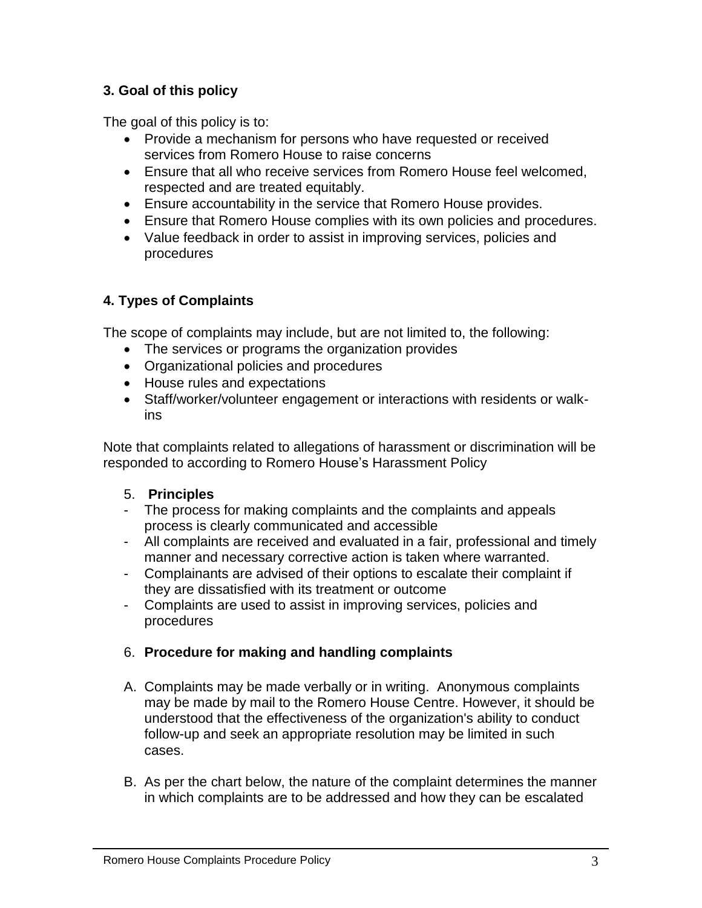# **3. Goal of this policy**

The goal of this policy is to:

- Provide a mechanism for persons who have requested or received services from Romero House to raise concerns
- Ensure that all who receive services from Romero House feel welcomed, respected and are treated equitably.
- Ensure accountability in the service that Romero House provides.
- Ensure that Romero House complies with its own policies and procedures.
- Value feedback in order to assist in improving services, policies and procedures

## **4. Types of Complaints**

The scope of complaints may include, but are not limited to, the following:

- The services or programs the organization provides
- Organizational policies and procedures
- House rules and expectations
- Staff/worker/volunteer engagement or interactions with residents or walkins

Note that complaints related to allegations of harassment or discrimination will be responded to according to Romero House's Harassment Policy

### 5. **Principles**

- The process for making complaints and the complaints and appeals process is clearly communicated and accessible
- All complaints are received and evaluated in a fair, professional and timely manner and necessary corrective action is taken where warranted.
- Complainants are advised of their options to escalate their complaint if they are dissatisfied with its treatment or outcome
- Complaints are used to assist in improving services, policies and procedures

### 6. **Procedure for making and handling complaints**

- A. Complaints may be made verbally or in writing. Anonymous complaints may be made by mail to the Romero House Centre. However, it should be understood that the effectiveness of the organization's ability to conduct follow-up and seek an appropriate resolution may be limited in such cases.
- B. As per the chart below, the nature of the complaint determines the manner in which complaints are to be addressed and how they can be escalated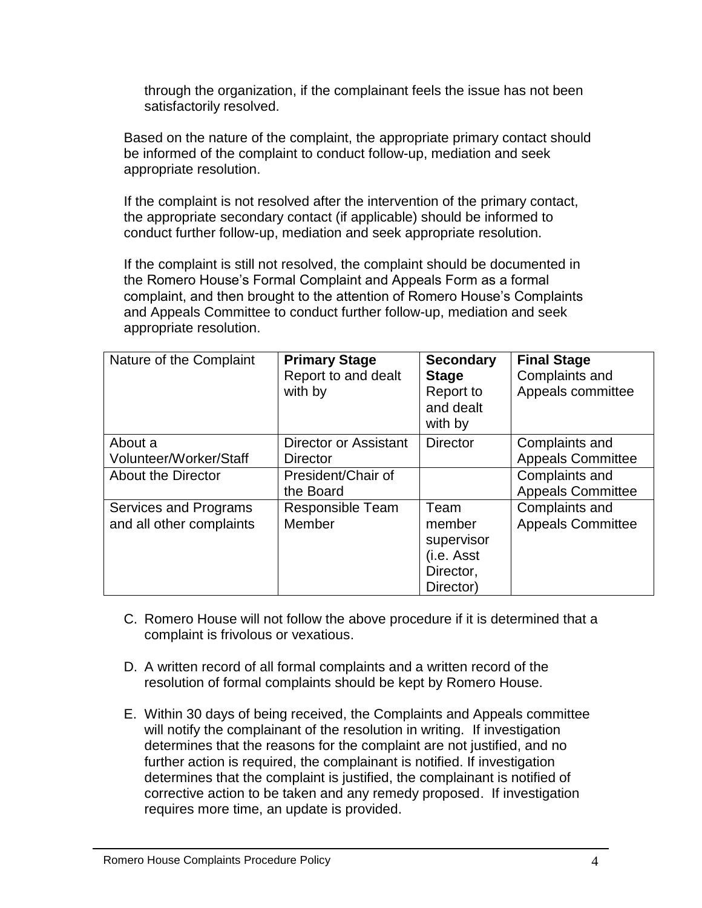through the organization, if the complainant feels the issue has not been satisfactorily resolved.

Based on the nature of the complaint, the appropriate primary contact should be informed of the complaint to conduct follow-up, mediation and seek appropriate resolution.

If the complaint is not resolved after the intervention of the primary contact, the appropriate secondary contact (if applicable) should be informed to conduct further follow-up, mediation and seek appropriate resolution.

If the complaint is still not resolved, the complaint should be documented in the Romero House's Formal Complaint and Appeals Form as a formal complaint, and then brought to the attention of Romero House's Complaints and Appeals Committee to conduct further follow-up, mediation and seek appropriate resolution.

| Nature of the Complaint                           | <b>Primary Stage</b><br>Report to and dealt<br>with by | <b>Secondary</b><br><b>Stage</b><br>Report to<br>and dealt<br>with by | <b>Final Stage</b><br>Complaints and<br>Appeals committee |
|---------------------------------------------------|--------------------------------------------------------|-----------------------------------------------------------------------|-----------------------------------------------------------|
| About a<br>Volunteer/Worker/Staff                 | Director or Assistant<br><b>Director</b>               | <b>Director</b>                                                       | Complaints and<br><b>Appeals Committee</b>                |
| <b>About the Director</b>                         | President/Chair of<br>the Board                        |                                                                       | Complaints and<br><b>Appeals Committee</b>                |
| Services and Programs<br>and all other complaints | Responsible Team<br>Member                             | Team<br>member<br>supervisor<br>(i.e. Asst<br>Director,<br>Director)  | Complaints and<br><b>Appeals Committee</b>                |

- C. Romero House will not follow the above procedure if it is determined that a complaint is frivolous or vexatious.
- D. A written record of all formal complaints and a written record of the resolution of formal complaints should be kept by Romero House.
- E. Within 30 days of being received, the Complaints and Appeals committee will notify the complainant of the resolution in writing. If investigation determines that the reasons for the complaint are not justified, and no further action is required, the complainant is notified. If investigation determines that the complaint is justified, the complainant is notified of corrective action to be taken and any remedy proposed. If investigation requires more time, an update is provided.